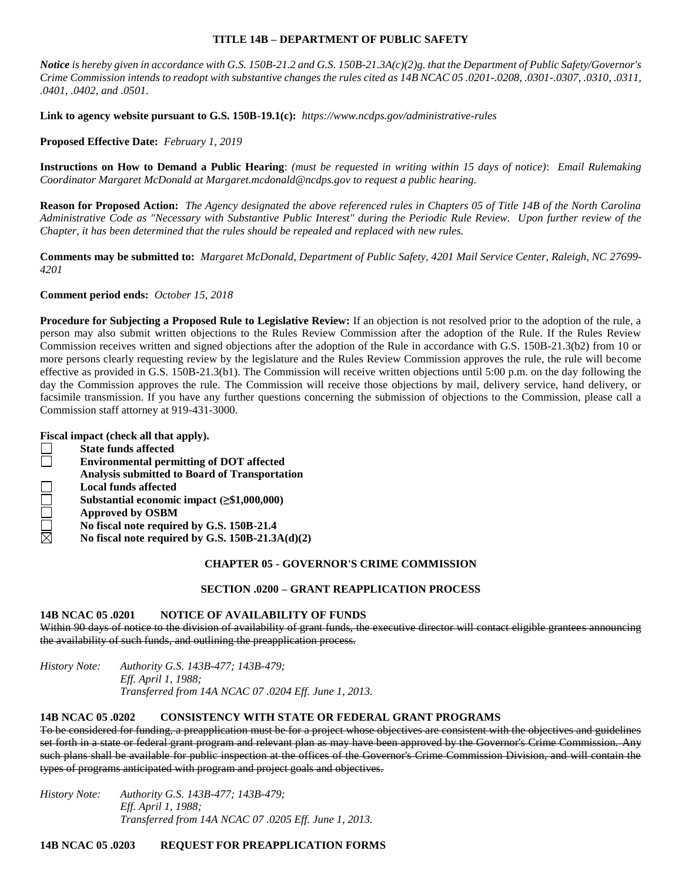## **TITLE 14B – DEPARTMENT OF PUBLIC SAFETY**

*Notice is hereby given in accordance with G.S. 150B-21.2 and G.S. 150B-21.3A(c)(2)g. that the Department of Public Safety/Governor's Crime Commission intends to readopt with substantive changes the rules cited as 14B NCAC 05 .0201-.0208, .0301-.0307, .0310, .0311, .0401, .0402, and .0501.*

**Link to agency website pursuant to G.S. 150B-19.1(c):** *https://www.ncdps.gov/administrative-rules*

**Proposed Effective Date:** *February 1, 2019*

**Instructions on How to Demand a Public Hearing**: *(must be requested in writing within 15 days of notice)*: *Email Rulemaking Coordinator Margaret McDonald at Margaret.mcdonald@ncdps.gov to request a public hearing.*

**Reason for Proposed Action:** *The Agency designated the above referenced rules in Chapters 05 of Title 14B of the North Carolina Administrative Code as "Necessary with Substantive Public Interest" during the Periodic Rule Review. Upon further review of the Chapter, it has been determined that the rules should be repealed and replaced with new rules.*

**Comments may be submitted to:** *Margaret McDonald, Department of Public Safety, 4201 Mail Service Center, Raleigh, NC 27699- 4201*

**Comment period ends:** *October 15, 2018*

**Procedure for Subjecting a Proposed Rule to Legislative Review:** If an objection is not resolved prior to the adoption of the rule, a person may also submit written objections to the Rules Review Commission after the adoption of the Rule. If the Rules Review Commission receives written and signed objections after the adoption of the Rule in accordance with G.S. 150B-21.3(b2) from 10 or more persons clearly requesting review by the legislature and the Rules Review Commission approves the rule, the rule will become effective as provided in G.S. 150B-21.3(b1). The Commission will receive written objections until 5:00 p.m. on the day following the day the Commission approves the rule. The Commission will receive those objections by mail, delivery service, hand delivery, or facsimile transmission. If you have any further questions concerning the submission of objections to the Commission, please call a Commission staff attorney at 919-431-3000.

**Fiscal impact (check all that apply).**

| ai impact (cneek an that apply):                     |
|------------------------------------------------------|
| <b>State funds affected</b>                          |
| <b>Environmental permitting of DOT affected</b>      |
| <b>Analysis submitted to Board of Transportation</b> |
| <b>Local funds affected</b>                          |
| Substantial economic impact $(\geq$ \$1,000,000)     |
| <b>Approved by OSBM</b>                              |
| No fiscal note required by G.S. 150B-21.4            |
| No fiscal note required by G.S. 150B-21.3A(d)(2)     |
|                                                      |

## **CHAPTER 05 - GOVERNOR'S CRIME COMMISSION**

## **SECTION .0200 – GRANT REAPPLICATION PROCESS**

## **14B NCAC 05 .0201 NOTICE OF AVAILABILITY OF FUNDS**

Within 90 days of notice to the division of availability of grant funds, the executive director will contact eligible grantees announcing the availability of such funds, and outlining the preapplication process.

*History Note: Authority G.S. 143B-477; 143B-479; Eff. April 1, 1988; Transferred from 14A NCAC 07 .0204 Eff. June 1, 2013.*

# **14B NCAC 05 .0202 CONSISTENCY WITH STATE OR FEDERAL GRANT PROGRAMS**

To be considered for funding, a preapplication must be for a project whose objectives are consistent with the objectives and guidelines set forth in a state or federal grant program and relevant plan as may have been approved by the Governor's Crime Commission. Any such plans shall be available for public inspection at the offices of the Governor's Crime Commission Division, and will contain the types of programs anticipated with program and project goals and objectives.

*History Note: Authority G.S. 143B-477; 143B-479; Eff. April 1, 1988; Transferred from 14A NCAC 07 .0205 Eff. June 1, 2013.*

## **14B NCAC 05 .0203 REQUEST FOR PREAPPLICATION FORMS**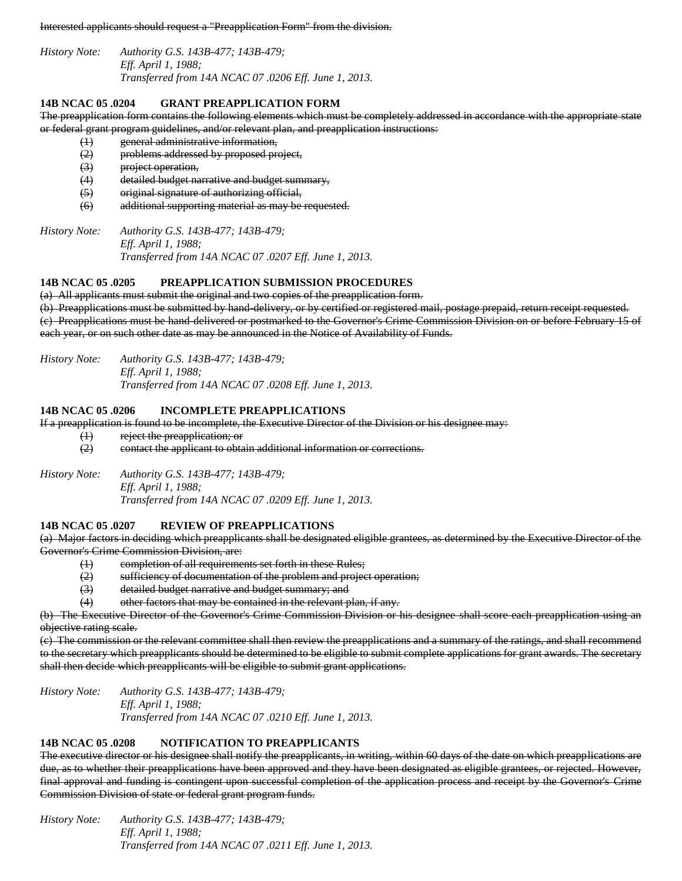Interested applicants should request a "Preapplication Form" from the division.

*History Note: Authority G.S. 143B-477; 143B-479; Eff. April 1, 1988; Transferred from 14A NCAC 07 .0206 Eff. June 1, 2013.*

## **14B NCAC 05 .0204 GRANT PREAPPLICATION FORM**

The preapplication form contains the following elements which must be completely addressed in accordance with the appropriate state or federal grant program guidelines, and/or relevant plan, and preapplication instructions:

- (1) general administrative information,
- (2) problems addressed by proposed project,
- (3) project operation,
- (4) detailed budget narrative and budget summary,
- (5) original signature of authorizing official,
- (6) additional supporting material as may be requested.

*History Note: Authority G.S. 143B-477; 143B-479; Eff. April 1, 1988; Transferred from 14A NCAC 07 .0207 Eff. June 1, 2013.*

## **14B NCAC 05 .0205 PREAPPLICATION SUBMISSION PROCEDURES**

(a) All applicants must submit the original and two copies of the preapplication form. (b) Preapplications must be submitted by hand-delivery, or by certified or registered mail, postage prepaid, return receipt requested. (c) Preapplications must be hand-delivered or postmarked to the Governor's Crime Commission Division on or before February 15 of each year, or on such other date as may be announced in the Notice of Availability of Funds.

*History Note: Authority G.S. 143B-477; 143B-479; Eff. April 1, 1988; Transferred from 14A NCAC 07 .0208 Eff. June 1, 2013.*

### **14B NCAC 05 .0206 INCOMPLETE PREAPPLICATIONS**

If a preapplication is found to be incomplete, the Executive Director of the Division or his designee may:

- (1) reject the preapplication; or
	- (2) contact the applicant to obtain additional information or corrections.

*History Note: Authority G.S. 143B-477; 143B-479; Eff. April 1, 1988;*

*Transferred from 14A NCAC 07 .0209 Eff. June 1, 2013.*

## **14B NCAC 05 .0207 REVIEW OF PREAPPLICATIONS**

(a) Major factors in deciding which preapplicants shall be designated eligible grantees, as determined by the Executive Director of the Governor's Crime Commission Division, are:

- (1) completion of all requirements set forth in these Rules;
- (2) sufficiency of documentation of the problem and project operation;
- (3) detailed budget narrative and budget summary; and
- (4) other factors that may be contained in the relevant plan, if any.

(b) The Executive Director of the Governor's Crime Commission Division or his designee shall score each preapplication using an objective rating scale.

(c) The commission or the relevant committee shall then review the preapplications and a summary of the ratings, and shall recommend to the secretary which preapplicants should be determined to be eligible to submit complete applications for grant awards. The secretary shall then decide which preapplicants will be eligible to submit grant applications.

*History Note: Authority G.S. 143B-477; 143B-479; Eff. April 1, 1988; Transferred from 14A NCAC 07 .0210 Eff. June 1, 2013.*

### **14B NCAC 05 .0208 NOTIFICATION TO PREAPPLICANTS**

The executive director or his designee shall notify the preapplicants, in writing, within 60 days of the date on which preapplications are due, as to whether their preapplications have been approved and they have been designated as eligible grantees, or rejected. However, final approval and funding is contingent upon successful completion of the application process and receipt by the Governor's Crime Commission Division of state or federal grant program funds.

*History Note: Authority G.S. 143B-477; 143B-479; Eff. April 1, 1988; Transferred from 14A NCAC 07 .0211 Eff. June 1, 2013.*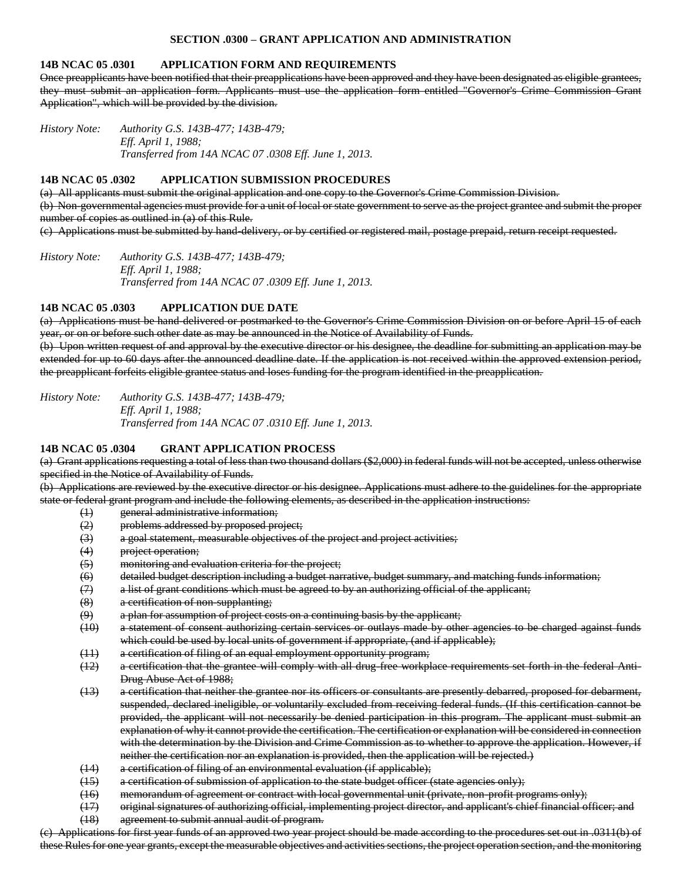## **SECTION .0300 – GRANT APPLICATION AND ADMINISTRATION**

#### **14B NCAC 05 .0301 APPLICATION FORM AND REQUIREMENTS**

Once preapplicants have been notified that their preapplications have been approved and they have been designated as eligible grantees, they must submit an application form. Applicants must use the application form entitled "Governor's Crime Commission Grant Application", which will be provided by the division.

*History Note: Authority G.S. 143B-477; 143B-479; Eff. April 1, 1988; Transferred from 14A NCAC 07 .0308 Eff. June 1, 2013.*

#### **14B NCAC 05 .0302 APPLICATION SUBMISSION PROCEDURES**

(a) All applicants must submit the original application and one copy to the Governor's Crime Commission Division. (b) Non-governmental agencies must provide for a unit of local or state government to serve as the project grantee and submit the proper number of copies as outlined in (a) of this Rule.

(c) Applications must be submitted by hand-delivery, or by certified or registered mail, postage prepaid, return receipt requested.

*History Note: Authority G.S. 143B-477; 143B-479; Eff. April 1, 1988; Transferred from 14A NCAC 07 .0309 Eff. June 1, 2013.*

#### **14B NCAC 05 .0303 APPLICATION DUE DATE**

(a) Applications must be hand-delivered or postmarked to the Governor's Crime Commission Division on or before April 15 of each year, or on or before such other date as may be announced in the Notice of Availability of Funds.

(b) Upon written request of and approval by the executive director or his designee, the deadline for submitting an application may be extended for up to 60 days after the announced deadline date. If the application is not received within the approved extension period, the preapplicant forfeits eligible grantee status and loses funding for the program identified in the preapplication.

*History Note: Authority G.S. 143B-477; 143B-479; Eff. April 1, 1988; Transferred from 14A NCAC 07 .0310 Eff. June 1, 2013.*

#### **14B NCAC 05 .0304 GRANT APPLICATION PROCESS**

(a) Grant applications requesting a total of less than two thousand dollars (\$2,000) in federal funds will not be accepted, unless otherwise specified in the Notice of Availability of Funds.

(b) Applications are reviewed by the executive director or his designee. Applications must adhere to the guidelines for the appropriate state or federal grant program and include the following elements, as described in the application instructions:

- (1) general administrative information;
- (2) problems addressed by proposed project;
- (3) a goal statement, measurable objectives of the project and project activities;
- (4) project operation;
- (5) monitoring and evaluation criteria for the project;
- (6) detailed budget description including a budget narrative, budget summary, and matching funds information;
- $(7)$  a list of grant conditions which must be agreed to by an authorizing official of the applicant;
- (8) a certification of non-supplanting;
- (9) a plan for assumption of project costs on a continuing basis by the applicant;
- (10) a statement of consent authorizing certain services or outlays made by other agencies to be charged against funds which could be used by local units of government if appropriate, (and if applicable);
- (11) a certification of filing of an equal employment opportunity program;
- (12) a certification that the grantee will comply with all drug-free workplace requirements set forth in the federal Anti-Drug Abuse Act of 1988;
- (13) a certification that neither the grantee nor its officers or consultants are presently debarred, proposed for debarment, suspended, declared ineligible, or voluntarily excluded from receiving federal funds. (If this certification cannot be provided, the applicant will not necessarily be denied participation in this program. The applicant must submit an explanation of why it cannot provide the certification. The certification or explanation will be considered in connection with the determination by the Division and Crime Commission as to whether to approve the application. However, if neither the certification nor an explanation is provided, then the application will be rejected.)
- (14) a certification of filing of an environmental evaluation (if applicable);
- (15) a certification of submission of application to the state budget officer (state agencies only);
- (16) memorandum of agreement or contract with local governmental unit (private, non-profit programs only);
- (17) original signatures of authorizing official, implementing project director, and applicant's chief financial officer; and
- (18) agreement to submit annual audit of program.

(c) Applications for first year funds of an approved two year project should be made according to the procedures set out in .0311(b) of these Rules for one year grants, except the measurable objectives and activities sections, the project operation section, and the monitoring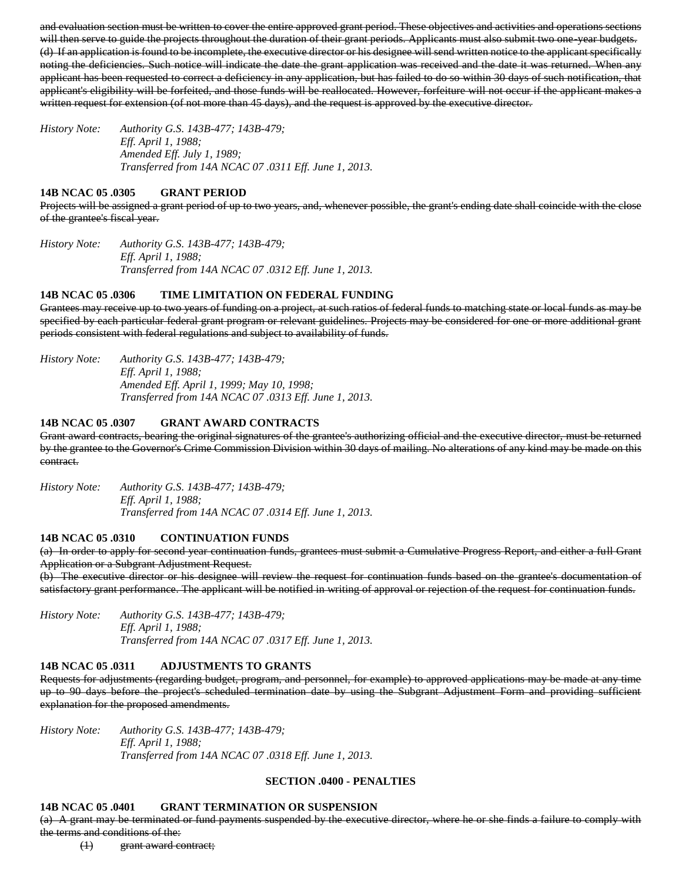and evaluation section must be written to cover the entire approved grant period. These objectives and activities and operations sections will then serve to guide the projects throughout the duration of their grant periods. Applicants must also submit two one-year budgets. (d) If an application is found to be incomplete, the executive director or his designee will send written notice to the applicant specifically noting the deficiencies. Such notice will indicate the date the grant application was received and the date it was returned. When any applicant has been requested to correct a deficiency in any application, but has failed to do so within 30 days of such notification, that applicant's eligibility will be forfeited, and those funds will be reallocated. However, forfeiture will not occur if the applicant makes a written request for extension (of not more than 45 days), and the request is approved by the executive director.

*History Note: Authority G.S. 143B-477; 143B-479; Eff. April 1, 1988; Amended Eff. July 1, 1989; Transferred from 14A NCAC 07 .0311 Eff. June 1, 2013.*

### **14B NCAC 05 .0305 GRANT PERIOD**

Projects will be assigned a grant period of up to two years, and, whenever possible, the grant's ending date shall coincide with the close of the grantee's fiscal year.

*History Note: Authority G.S. 143B-477; 143B-479; Eff. April 1, 1988; Transferred from 14A NCAC 07 .0312 Eff. June 1, 2013.*

### **14B NCAC 05 .0306 TIME LIMITATION ON FEDERAL FUNDING**

Grantees may receive up to two years of funding on a project, at such ratios of federal funds to matching state or local funds as may be specified by each particular federal grant program or relevant guidelines. Projects may be considered for one or more additional grant periods consistent with federal regulations and subject to availability of funds.

*History Note: Authority G.S. 143B-477; 143B-479; Eff. April 1, 1988; Amended Eff. April 1, 1999; May 10, 1998; Transferred from 14A NCAC 07 .0313 Eff. June 1, 2013.*

## **14B NCAC 05 .0307 GRANT AWARD CONTRACTS**

Grant award contracts, bearing the original signatures of the grantee's authorizing official and the executive director, must be returned by the grantee to the Governor's Crime Commission Division within 30 days of mailing. No alterations of any kind may be made on this contract.

*History Note: Authority G.S. 143B-477; 143B-479; Eff. April 1, 1988; Transferred from 14A NCAC 07 .0314 Eff. June 1, 2013.*

## **14B NCAC 05 .0310 CONTINUATION FUNDS**

(a) In order to apply for second year continuation funds, grantees must submit a Cumulative Progress Report, and either a full Grant Application or a Subgrant Adjustment Request.

(b) The executive director or his designee will review the request for continuation funds based on the grantee's documentation of satisfactory grant performance. The applicant will be notified in writing of approval or rejection of the request for continuation funds.

*History Note: Authority G.S. 143B-477; 143B-479; Eff. April 1, 1988; Transferred from 14A NCAC 07 .0317 Eff. June 1, 2013.*

#### **14B NCAC 05 .0311 ADJUSTMENTS TO GRANTS**

Requests for adjustments (regarding budget, program, and personnel, for example) to approved applications may be made at any time up to 90 days before the project's scheduled termination date by using the Subgrant Adjustment Form and providing sufficient explanation for the proposed amendments.

*History Note: Authority G.S. 143B-477; 143B-479; Eff. April 1, 1988; Transferred from 14A NCAC 07 .0318 Eff. June 1, 2013.*

#### **SECTION .0400 - PENALTIES**

#### **14B NCAC 05 .0401 GRANT TERMINATION OR SUSPENSION**

(a) A grant may be terminated or fund payments suspended by the executive director, where he or she finds a failure to comply with the terms and conditions of the:

(1) grant award contract;